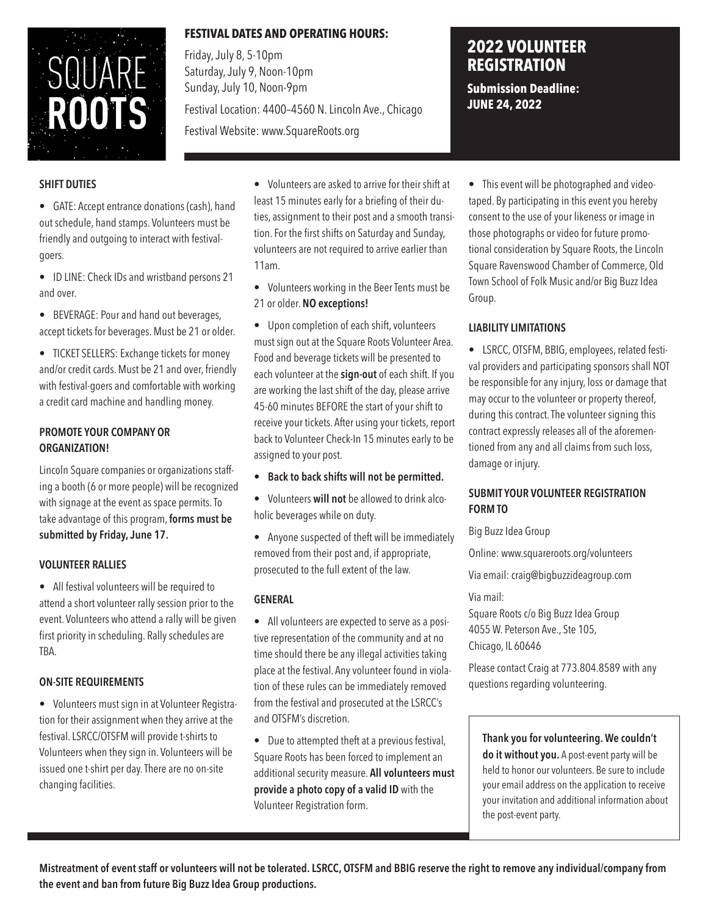

# **FESTIVAL DATES AND OPERATING HOURS:**

Friday, July 8, 5-10pm Saturday, July 9, Noon-10pm Sunday, July 10, Noon-9pm

Festival Location: 4400–4560 N. Lincoln Ave., Chicago

Festival Website: www.SquareRoots.org

# **2022 VOLUNTEER REGISTRATION**

**Submission Deadline: JUNE 24, 2022**

### **SHIFT DUTIES**

• GATE: Accept entrance donations (cash), hand out schedule, hand stamps. Volunteers must be friendly and outgoing to interact with festivalgoers.

• ID LINE: Check IDs and wristband persons 21 and over.

• BEVERAGE: Pour and hand out beverages, accept tickets for beverages. Must be 21 or older.

• TICKET SELLERS: Exchange tickets for money and/or credit cards. Must be 21 and over, friendly with festival-goers and comfortable with working a credit card machine and handling money.

# **PROMOTE YOUR COMPANY OR ORGANIZATION!**

Lincoln Square companies or organizations staffing a booth (6 or more people) will be recognized with signage at the event as space permits. To take advantage of this program, **forms must be submitted by Friday, June 17.**

# **VOLUNTEER RALLIES**

• All festival volunteers will be required to attend a short volunteer rally session prior to the event. Volunteers who attend a rally will be given first priority in scheduling. Rally schedules are TBA.

#### **ON-SITE REQUIREMENTS**

• Volunteers must sign in at Volunteer Registration for their assignment when they arrive at the festival. LSRCC/OTSFM will provide t-shirts to Volunteers when they sign in. Volunteers will be issued one t-shirt per day. There are no on-site changing facilities.

• Volunteers are asked to arrive for their shift at least 15 minutes early for a briefing of their duties, assignment to their post and a smooth transition. For the first shifts on Saturday and Sunday, volunteers are not required to arrive earlier than 11am.

• Volunteers working in the Beer Tents must be 21 or older. **NO exceptions!**

• Upon completion of each shift, volunteers must sign out at the Square Roots Volunteer Area. Food and beverage tickets will be presented to each volunteer at the **sign-out** of each shift. If you are working the last shift of the day, please arrive 45-60 minutes BEFORE the start of your shift to receive your tickets. After using your tickets, report back to Volunteer Check-In 15 minutes early to be assigned to your post.

- **Back to back shifts will not be permitted.**
- Volunteers **will not** be allowed to drink alcoholic beverages while on duty.

• Anyone suspected of theft will be immediately removed from their post and, if appropriate, prosecuted to the full extent of the law.

#### **GENERAL**

• All volunteers are expected to serve as a positive representation of the community and at no time should there be any illegal activities taking place at the festival. Any volunteer found in violation of these rules can be immediately removed from the festival and prosecuted at the LSRCC's and OTSFM's discretion.

• Due to attempted theft at a previous festival, Square Roots has been forced to implement an additional security measure. **All volunteers must provide a photo copy of a valid ID** with the Volunteer Registration form.

• This event will be photographed and videotaped. By participating in this event you hereby consent to the use of your likeness or image in those photographs or video for future promotional consideration by Square Roots, the Lincoln Square Ravenswood Chamber of Commerce, Old Town School of Folk Music and/or Big Buzz Idea Group.

# **LIABILITY LIMITATIONS**

• LSRCC, OTSFM, BBIG, employees, related festival providers and participating sponsors shall NOT be responsible for any injury, loss or damage that may occur to the volunteer or property thereof, during this contract. The volunteer signing this contract expressly releases all of the aforementioned from any and all claims from such loss, damage or injury.

### **SUBMIT YOUR VOLUNTEER REGISTRATION FORM TO**

Big Buzz Idea Group

Online: www.squareroots.org/volunteers

Via email: craig@bigbuzzideagroup.com

Via mail:

Square Roots c/o Big Buzz Idea Group 4055 W. Peterson Ave., Ste 105, Chicago, IL 60646

Please contact Craig at 773.804.8589 with any questions regarding volunteering.

**Thank you for volunteering. We couldn't do it without you.** A post-event party will be held to honor our volunteers. Be sure to include your email address on the application to receive your invitation and additional information about the post-event party.

**Mistreatment of event staff or volunteers will not be tolerated. LSRCC, OTSFM and BBIG reserve the right to remove any individual/company from the event and ban from future Big Buzz Idea Group productions.**